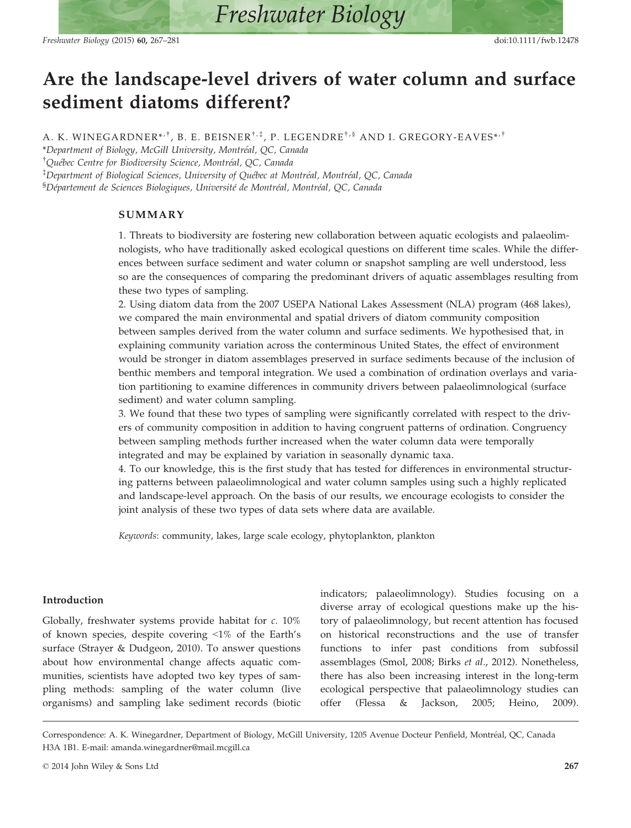# Are the landscape-level drivers of water column and surface sediment diatoms different?

A. K. WINEGARDNER\*<sup>,†</sup>, B. E. BEISNER<sup>†,‡</sup>, P. LEGENDRE<sup>†,§</sup> AND I. GREGORY-EAVES\*<sup>,†</sup>

\*Department of Biology, McGill University, Montreal, QC, Canada <sup>†</sup>Québec Centre for Biodiversity Science, Montréal, QC, Canada

 $^\ddagger$ Department of Biological Sciences, University of Québec at Montréal, Montréal, QC, Canada <sup>§</sup>Département de Sciences Biologiques, Université de Montréal, Montréal, QC, Canada

## SUMMARY

1. Threats to biodiversity are fostering new collaboration between aquatic ecologists and palaeolimnologists, who have traditionally asked ecological questions on different time scales. While the differences between surface sediment and water column or snapshot sampling are well understood, less so are the consequences of comparing the predominant drivers of aquatic assemblages resulting from these two types of sampling.

2. Using diatom data from the 2007 USEPA National Lakes Assessment (NLA) program (468 lakes), we compared the main environmental and spatial drivers of diatom community composition between samples derived from the water column and surface sediments. We hypothesised that, in explaining community variation across the conterminous United States, the effect of environment would be stronger in diatom assemblages preserved in surface sediments because of the inclusion of benthic members and temporal integration. We used a combination of ordination overlays and variation partitioning to examine differences in community drivers between palaeolimnological (surface sediment) and water column sampling.

3. We found that these two types of sampling were significantly correlated with respect to the drivers of community composition in addition to having congruent patterns of ordination. Congruency between sampling methods further increased when the water column data were temporally integrated and may be explained by variation in seasonally dynamic taxa.

4. To our knowledge, this is the first study that has tested for differences in environmental structuring patterns between palaeolimnological and water column samples using such a highly replicated and landscape-level approach. On the basis of our results, we encourage ecologists to consider the joint analysis of these two types of data sets where data are available.

Keywords: community, lakes, large scale ecology, phytoplankton, plankton

# Introduction

Globally, freshwater systems provide habitat for c. 10% of known species, despite covering <1% of the Earth's surface (Strayer & Dudgeon, 2010). To answer questions about how environmental change affects aquatic communities, scientists have adopted two key types of sampling methods: sampling of the water column (live organisms) and sampling lake sediment records (biotic indicators; palaeolimnology). Studies focusing on a diverse array of ecological questions make up the history of palaeolimnology, but recent attention has focused on historical reconstructions and the use of transfer functions to infer past conditions from subfossil assemblages (Smol, 2008; Birks et al., 2012). Nonetheless, there has also been increasing interest in the long-term ecological perspective that palaeolimnology studies can offer (Flessa & Jackson, 2005; Heino, 2009).

Correspondence: A. K. Winegardner, Department of Biology, McGill University, 1205 Avenue Docteur Penfield, Montreal, QC, Canada H3A 1B1. E-mail: amanda.winegardner@mail.mcgill.ca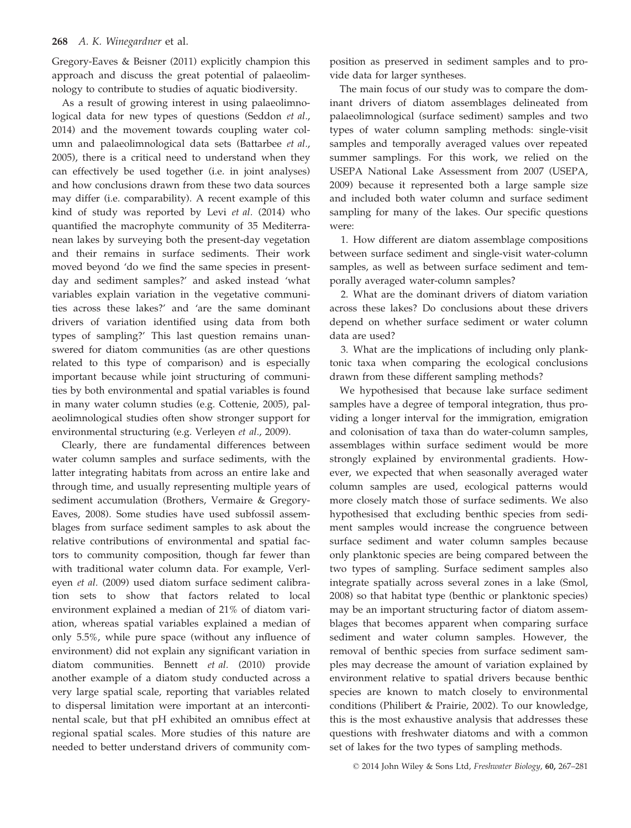#### 268 A. K. Winegardner et al.

Gregory-Eaves & Beisner (2011) explicitly champion this approach and discuss the great potential of palaeolimnology to contribute to studies of aquatic biodiversity.

As a result of growing interest in using palaeolimnological data for new types of questions (Seddon et al., 2014) and the movement towards coupling water column and palaeolimnological data sets (Battarbee et al., 2005), there is a critical need to understand when they can effectively be used together (i.e. in joint analyses) and how conclusions drawn from these two data sources may differ (i.e. comparability). A recent example of this kind of study was reported by Levi et al. (2014) who quantified the macrophyte community of 35 Mediterranean lakes by surveying both the present-day vegetation and their remains in surface sediments. Their work moved beyond 'do we find the same species in presentday and sediment samples?' and asked instead 'what variables explain variation in the vegetative communities across these lakes?' and 'are the same dominant drivers of variation identified using data from both types of sampling?' This last question remains unanswered for diatom communities (as are other questions related to this type of comparison) and is especially important because while joint structuring of communities by both environmental and spatial variables is found in many water column studies (e.g. Cottenie, 2005), palaeolimnological studies often show stronger support for environmental structuring (e.g. Verleyen et al., 2009).

Clearly, there are fundamental differences between water column samples and surface sediments, with the latter integrating habitats from across an entire lake and through time, and usually representing multiple years of sediment accumulation (Brothers, Vermaire & Gregory-Eaves, 2008). Some studies have used subfossil assemblages from surface sediment samples to ask about the relative contributions of environmental and spatial factors to community composition, though far fewer than with traditional water column data. For example, Verleyen et al. (2009) used diatom surface sediment calibration sets to show that factors related to local environment explained a median of 21% of diatom variation, whereas spatial variables explained a median of only 5.5%, while pure space (without any influence of environment) did not explain any significant variation in diatom communities. Bennett et al. (2010) provide another example of a diatom study conducted across a very large spatial scale, reporting that variables related to dispersal limitation were important at an intercontinental scale, but that pH exhibited an omnibus effect at regional spatial scales. More studies of this nature are needed to better understand drivers of community composition as preserved in sediment samples and to provide data for larger syntheses.

The main focus of our study was to compare the dominant drivers of diatom assemblages delineated from palaeolimnological (surface sediment) samples and two types of water column sampling methods: single-visit samples and temporally averaged values over repeated summer samplings. For this work, we relied on the USEPA National Lake Assessment from 2007 (USEPA, 2009) because it represented both a large sample size and included both water column and surface sediment sampling for many of the lakes. Our specific questions were:

1. How different are diatom assemblage compositions between surface sediment and single-visit water-column samples, as well as between surface sediment and temporally averaged water-column samples?

2. What are the dominant drivers of diatom variation across these lakes? Do conclusions about these drivers depend on whether surface sediment or water column data are used?

3. What are the implications of including only planktonic taxa when comparing the ecological conclusions drawn from these different sampling methods?

We hypothesised that because lake surface sediment samples have a degree of temporal integration, thus providing a longer interval for the immigration, emigration and colonisation of taxa than do water-column samples, assemblages within surface sediment would be more strongly explained by environmental gradients. However, we expected that when seasonally averaged water column samples are used, ecological patterns would more closely match those of surface sediments. We also hypothesised that excluding benthic species from sediment samples would increase the congruence between surface sediment and water column samples because only planktonic species are being compared between the two types of sampling. Surface sediment samples also integrate spatially across several zones in a lake (Smol, 2008) so that habitat type (benthic or planktonic species) may be an important structuring factor of diatom assemblages that becomes apparent when comparing surface sediment and water column samples. However, the removal of benthic species from surface sediment samples may decrease the amount of variation explained by environment relative to spatial drivers because benthic species are known to match closely to environmental conditions (Philibert & Prairie, 2002). To our knowledge, this is the most exhaustive analysis that addresses these questions with freshwater diatoms and with a common set of lakes for the two types of sampling methods.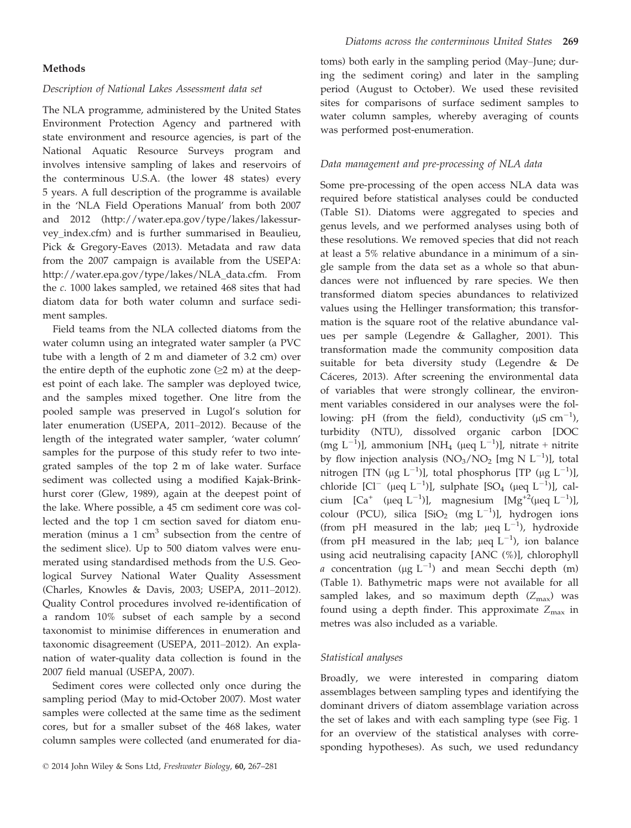#### Methods

# Description of National Lakes Assessment data set

The NLA programme, administered by the United States Environment Protection Agency and partnered with state environment and resource agencies, is part of the National Aquatic Resource Surveys program and involves intensive sampling of lakes and reservoirs of the conterminous U.S.A. (the lower 48 states) every 5 years. A full description of the programme is available in the 'NLA Field Operations Manual' from both 2007 and 2012 (http://water.epa.gov/type/lakes/lakessurvey\_index.cfm) and is further summarised in Beaulieu, Pick & Gregory-Eaves (2013). Metadata and raw data from the 2007 campaign is available from the USEPA: http://water.epa.gov/type/lakes/NLA\_data.cfm. From the c. 1000 lakes sampled, we retained 468 sites that had diatom data for both water column and surface sediment samples.

Field teams from the NLA collected diatoms from the water column using an integrated water sampler (a PVC tube with a length of 2 m and diameter of 3.2 cm) over the entire depth of the euphotic zone  $(\geq 2 \text{ m})$  at the deepest point of each lake. The sampler was deployed twice, and the samples mixed together. One litre from the pooled sample was preserved in Lugol's solution for later enumeration (USEPA, 2011–2012). Because of the length of the integrated water sampler, 'water column' samples for the purpose of this study refer to two integrated samples of the top 2 m of lake water. Surface sediment was collected using a modified Kajak-Brinkhurst corer (Glew, 1989), again at the deepest point of the lake. Where possible, a 45 cm sediment core was collected and the top 1 cm section saved for diatom enumeration (minus a  $1 \text{ cm}^3$  subsection from the centre of the sediment slice). Up to 500 diatom valves were enumerated using standardised methods from the U.S. Geological Survey National Water Quality Assessment (Charles, Knowles & Davis, 2003; USEPA, 2011–2012). Quality Control procedures involved re-identification of a random 10% subset of each sample by a second taxonomist to minimise differences in enumeration and taxonomic disagreement (USEPA, 2011–2012). An explanation of water-quality data collection is found in the 2007 field manual (USEPA, 2007).

Sediment cores were collected only once during the sampling period (May to mid-October 2007). Most water samples were collected at the same time as the sediment cores, but for a smaller subset of the 468 lakes, water column samples were collected (and enumerated for diatoms) both early in the sampling period (May–June; during the sediment coring) and later in the sampling period (August to October). We used these revisited sites for comparisons of surface sediment samples to water column samples, whereby averaging of counts was performed post-enumeration.

# Data management and pre-processing of NLA data

Some pre-processing of the open access NLA data was required before statistical analyses could be conducted (Table S1). Diatoms were aggregated to species and genus levels, and we performed analyses using both of these resolutions. We removed species that did not reach at least a 5% relative abundance in a minimum of a single sample from the data set as a whole so that abundances were not influenced by rare species. We then transformed diatom species abundances to relativized values using the Hellinger transformation; this transformation is the square root of the relative abundance values per sample (Legendre & Gallagher, 2001). This transformation made the community composition data suitable for beta diversity study (Legendre & De Cáceres, 2013). After screening the environmental data of variables that were strongly collinear, the environment variables considered in our analyses were the following: pH (from the field), conductivity ( $\mu$ S cm<sup>-1</sup>), turbidity (NTU), dissolved organic carbon [DOC  $(mg L^{-1})$ ], ammonium [NH<sub>4</sub> (µeq L<sup>-1</sup>)], nitrate + nitrite by flow injection analysis  $(NO_3/NO_2$  [mg N  $L^{-1})$ ], total nitrogen [TN (µg L<sup>-1</sup>)], total phosphorus [TP (µg L<sup>-1</sup>)], chloride  $[C]^{-}$  ( $\mu$ eq L<sup>-1</sup>)], sulphate [SO<sub>4</sub> ( $\mu$ eq L<sup>-1</sup>)], calcium  $\left[Ca^+ \right.$  (µeq  $L^{-1}$ )], magnesium  $\left[ Mg^{+2}$ (µeq  $L^{-1}$ )], colour (PCU), silica [SiO<sub>2</sub> (mg L<sup>-1</sup>)], hydrogen ions (from pH measured in the lab;  $\mu$ eq L<sup>-1</sup>), hydroxide (from pH measured in the lab;  $\mu$ eq L<sup>-1</sup>), ion balance using acid neutralising capacity [ANC (%)], chlorophyll *a* concentration ( $\mu$ g L<sup>-1</sup>) and mean Secchi depth (m) (Table 1). Bathymetric maps were not available for all sampled lakes, and so maximum depth  $(Z_{\text{max}})$  was found using a depth finder. This approximate  $Z_{\text{max}}$  in metres was also included as a variable.

## Statistical analyses

Broadly, we were interested in comparing diatom assemblages between sampling types and identifying the dominant drivers of diatom assemblage variation across the set of lakes and with each sampling type (see Fig. 1 for an overview of the statistical analyses with corresponding hypotheses). As such, we used redundancy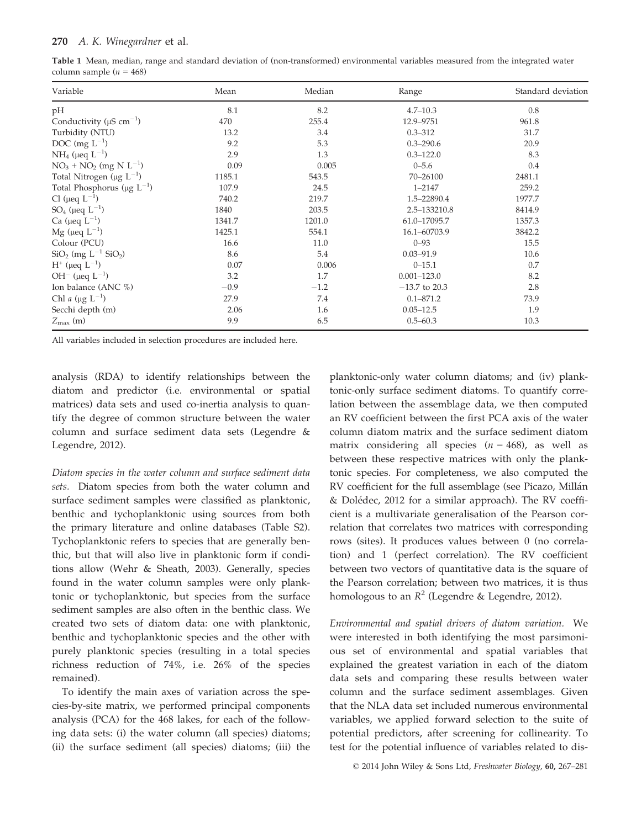| Table 1 Mean, median, range and standard deviation of (non-transformed) environmental variables measured from the integrated water |  |  |  |  |  |
|------------------------------------------------------------------------------------------------------------------------------------|--|--|--|--|--|
| column sample $(n = 468)$                                                                                                          |  |  |  |  |  |

| Variable                                      | Mean   | Median | Range           | Standard deviation |  |
|-----------------------------------------------|--------|--------|-----------------|--------------------|--|
| pH                                            | 8.1    | 8.2    | $4.7 - 10.3$    | 0.8                |  |
| Conductivity ( $\mu$ S cm <sup>-1</sup> )     | 470    | 255.4  | 12.9-9751       | 961.8              |  |
| Turbidity (NTU)                               | 13.2   | 3.4    | $0.3 - 312$     | 31.7               |  |
| DOC (mg $L^{-1}$ )                            | 9.2    | 5.3    | $0.3 - 290.6$   | 20.9               |  |
| $NH_4$ (µeq $L^{-1}$ )                        | 2.9    | 1.3    | $0.3 - 122.0$   | 8.3                |  |
| $NO3 + NO2 (mg N L-1)$                        | 0.09   | 0.005  | $0 - 5.6$       | 0.4                |  |
| Total Nitrogen ( $\mu$ g L <sup>-1</sup> )    | 1185.1 | 543.5  | 70-26100        | 2481.1             |  |
| Total Phosphorus ( $\mu$ g L <sup>-1</sup> )  | 107.9  | 24.5   | $1 - 2147$      | 259.2              |  |
| Cl ( $\mu$ eq $L^{-1}$ )                      | 740.2  | 219.7  | 1.5-22890.4     | 1977.7             |  |
| SO <sub>4</sub> ( $\mu$ eq L <sup>-1</sup> )  | 1840   | 203.5  | 2.5-133210.8    | 8414.9             |  |
| Ca ( $\mu$ eq $L^{-1}$ )                      | 1341.7 | 1201.0 | 61.0-17095.7    | 1357.3             |  |
| Mg ( $\mu$ eq $L^{-1}$ )                      | 1425.1 | 554.1  | 16.1-60703.9    | 3842.2             |  |
| Colour (PCU)                                  | 16.6   | 11.0   | $0 - 93$        | 15.5               |  |
| $SiO2$ (mg L <sup>-1</sup> SiO <sub>2</sub> ) | 8.6    | 5.4    | $0.03 - 91.9$   | 10.6               |  |
| $H^+$ (μeq $L^{-1}$ )                         | 0.07   | 0.006  | $0 - 15.1$      | 0.7                |  |
| OH <sup>-</sup> ( $\mu$ eq L <sup>-1</sup> )  | 3.2    | 1.7    | $0.001 - 123.0$ | 8.2                |  |
| Ion balance (ANC %)                           | $-0.9$ | $-1.2$ | $-13.7$ to 20.3 | 2.8                |  |
| Chl a ( $\mu$ g L <sup>-1</sup> )             | 27.9   | 7.4    | $0.1 - 871.2$   | 73.9               |  |
| Secchi depth (m)                              | 2.06   | 1.6    | $0.05 - 12.5$   | 1.9                |  |
| $Z_{\text{max}}$ (m)                          | 9.9    | 6.5    | $0.5 - 60.3$    | 10.3               |  |

All variables included in selection procedures are included here.

analysis (RDA) to identify relationships between the diatom and predictor (i.e. environmental or spatial matrices) data sets and used co-inertia analysis to quantify the degree of common structure between the water column and surface sediment data sets (Legendre & Legendre, 2012).

Diatom species in the water column and surface sediment data sets. Diatom species from both the water column and surface sediment samples were classified as planktonic, benthic and tychoplanktonic using sources from both the primary literature and online databases (Table S2). Tychoplanktonic refers to species that are generally benthic, but that will also live in planktonic form if conditions allow (Wehr & Sheath, 2003). Generally, species found in the water column samples were only planktonic or tychoplanktonic, but species from the surface sediment samples are also often in the benthic class. We created two sets of diatom data: one with planktonic, benthic and tychoplanktonic species and the other with purely planktonic species (resulting in a total species richness reduction of 74%, i.e. 26% of the species remained).

To identify the main axes of variation across the species-by-site matrix, we performed principal components analysis (PCA) for the 468 lakes, for each of the following data sets: (i) the water column (all species) diatoms; (ii) the surface sediment (all species) diatoms; (iii) the

planktonic-only water column diatoms; and (iv) planktonic-only surface sediment diatoms. To quantify correlation between the assemblage data, we then computed an RV coefficient between the first PCA axis of the water column diatom matrix and the surface sediment diatom matrix considering all species  $(n = 468)$ , as well as between these respective matrices with only the planktonic species. For completeness, we also computed the RV coefficient for the full assemblage (see Picazo, Millán & Doledec, 2012 for a similar approach). The RV coefficient is a multivariate generalisation of the Pearson correlation that correlates two matrices with corresponding rows (sites). It produces values between 0 (no correlation) and 1 (perfect correlation). The RV coefficient between two vectors of quantitative data is the square of the Pearson correlation; between two matrices, it is thus homologous to an  $\mathbb{R}^2$  (Legendre & Legendre, 2012).

Environmental and spatial drivers of diatom variation. We were interested in both identifying the most parsimonious set of environmental and spatial variables that explained the greatest variation in each of the diatom data sets and comparing these results between water column and the surface sediment assemblages. Given that the NLA data set included numerous environmental variables, we applied forward selection to the suite of potential predictors, after screening for collinearity. To test for the potential influence of variables related to dis-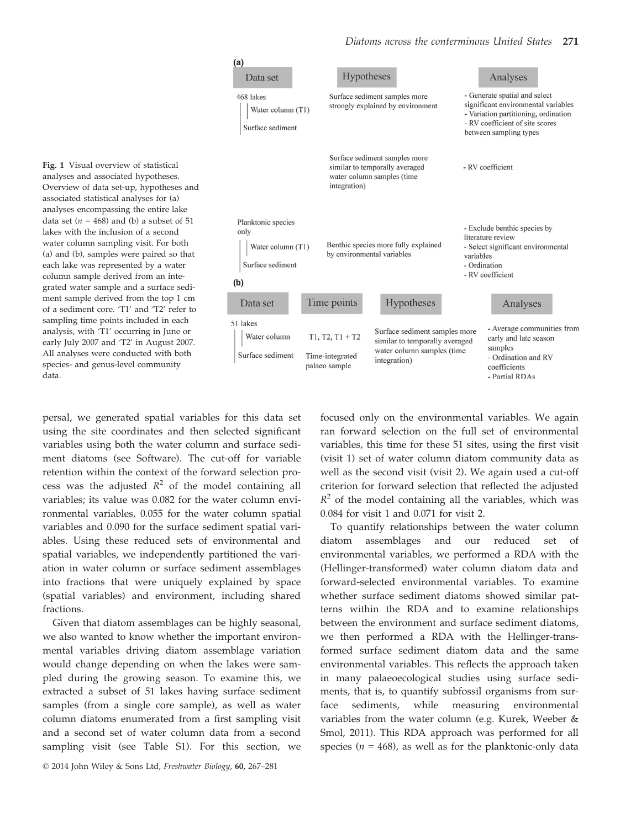

Fig. 1 Visual overview of statistical analyses and associated hypotheses. Overview of data set-up, hypotheses and associated statistical analyses for (a) analyses encompassing the entire lake data set ( $n = 468$ ) and (b) a subset of 51 lakes with the inclusion of a second water column sampling visit. For both (a) and (b), samples were paired so that each lake was represented by a water column sample derived from an integrated water sample and a surface sediment sample derived from the top 1 cm of a sediment core. 'T1' and 'T2' refer to sampling time points included in each analysis, with 'T1' occurring in June or early July 2007 and 'T2' in August 2007. All analyses were conducted with both species- and genus-level community data.

persal, we generated spatial variables for this data set using the site coordinates and then selected significant variables using both the water column and surface sediment diatoms (see Software). The cut-off for variable retention within the context of the forward selection process was the adjusted  $R^2$  of the model containing all variables; its value was 0.082 for the water column environmental variables, 0.055 for the water column spatial variables and 0.090 for the surface sediment spatial variables. Using these reduced sets of environmental and spatial variables, we independently partitioned the variation in water column or surface sediment assemblages into fractions that were uniquely explained by space (spatial variables) and environment, including shared fractions.

Given that diatom assemblages can be highly seasonal, we also wanted to know whether the important environmental variables driving diatom assemblage variation would change depending on when the lakes were sampled during the growing season. To examine this, we extracted a subset of 51 lakes having surface sediment samples (from a single core sample), as well as water column diatoms enumerated from a first sampling visit and a second set of water column data from a second sampling visit (see Table S1). For this section, we focused only on the environmental variables. We again ran forward selection on the full set of environmental variables, this time for these 51 sites, using the first visit (visit 1) set of water column diatom community data as well as the second visit (visit 2). We again used a cut-off criterion for forward selection that reflected the adjusted  $R^2$  of the model containing all the variables, which was 0.084 for visit 1 and 0.071 for visit 2.

To quantify relationships between the water column diatom assemblages and our reduced set of environmental variables, we performed a RDA with the (Hellinger-transformed) water column diatom data and forward-selected environmental variables. To examine whether surface sediment diatoms showed similar patterns within the RDA and to examine relationships between the environment and surface sediment diatoms, we then performed a RDA with the Hellinger-transformed surface sediment diatom data and the same environmental variables. This reflects the approach taken in many palaeoecological studies using surface sediments, that is, to quantify subfossil organisms from surface sediments, while measuring environmental variables from the water column (e.g. Kurek, Weeber & Smol, 2011). This RDA approach was performed for all species ( $n = 468$ ), as well as for the planktonic-only data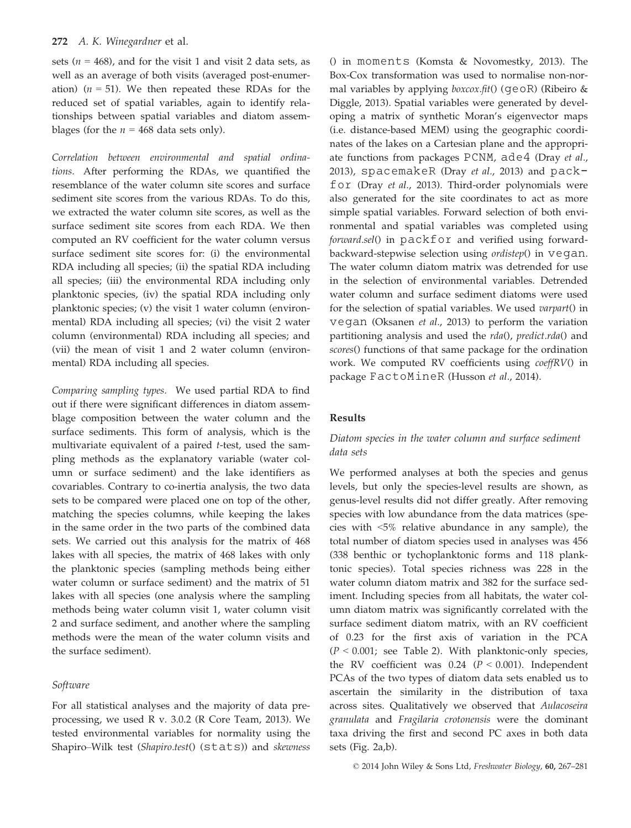#### 272 A. K. Winegardner et al.

sets ( $n = 468$ ), and for the visit 1 and visit 2 data sets, as well as an average of both visits (averaged post-enumeration) ( $n = 51$ ). We then repeated these RDAs for the reduced set of spatial variables, again to identify relationships between spatial variables and diatom assemblages (for the  $n = 468$  data sets only).

Correlation between environmental and spatial ordinations. After performing the RDAs, we quantified the resemblance of the water column site scores and surface sediment site scores from the various RDAs. To do this, we extracted the water column site scores, as well as the surface sediment site scores from each RDA. We then computed an RV coefficient for the water column versus surface sediment site scores for: (i) the environmental RDA including all species; (ii) the spatial RDA including all species; (iii) the environmental RDA including only planktonic species, (iv) the spatial RDA including only planktonic species; (v) the visit 1 water column (environmental) RDA including all species; (vi) the visit 2 water column (environmental) RDA including all species; and (vii) the mean of visit 1 and 2 water column (environmental) RDA including all species.

Comparing sampling types. We used partial RDA to find out if there were significant differences in diatom assemblage composition between the water column and the surface sediments. This form of analysis, which is the multivariate equivalent of a paired t-test, used the sampling methods as the explanatory variable (water column or surface sediment) and the lake identifiers as covariables. Contrary to co-inertia analysis, the two data sets to be compared were placed one on top of the other, matching the species columns, while keeping the lakes in the same order in the two parts of the combined data sets. We carried out this analysis for the matrix of 468 lakes with all species, the matrix of 468 lakes with only the planktonic species (sampling methods being either water column or surface sediment) and the matrix of 51 lakes with all species (one analysis where the sampling methods being water column visit 1, water column visit 2 and surface sediment, and another where the sampling methods were the mean of the water column visits and the surface sediment).

## Software

For all statistical analyses and the majority of data preprocessing, we used R v. 3.0.2 (R Core Team, 2013). We tested environmental variables for normality using the Shapiro–Wilk test (Shapiro.test() (stats)) and skewness () in moments (Komsta & Novomestky, 2013). The Box-Cox transformation was used to normalise non-normal variables by applying *boxcox.fit*() ( $q \in \mathbb{R}$ ) (Ribeiro & Diggle, 2013). Spatial variables were generated by developing a matrix of synthetic Moran's eigenvector maps (i.e. distance-based MEM) using the geographic coordinates of the lakes on a Cartesian plane and the appropriate functions from packages PCNM, ade4 (Dray et al., 2013), spacemakeR (Dray et al., 2013) and  $pack$ for (Dray et al., 2013). Third-order polynomials were also generated for the site coordinates to act as more simple spatial variables. Forward selection of both environmental and spatial variables was completed using forward.sel() in packfor and verified using forwardbackward-stepwise selection using ordistep() in vegan. The water column diatom matrix was detrended for use in the selection of environmental variables. Detrended water column and surface sediment diatoms were used for the selection of spatial variables. We used varpart() in vegan (Oksanen et al., 2013) to perform the variation partitioning analysis and used the rda(), predict.rda() and scores() functions of that same package for the ordination work. We computed RV coefficients using coeffRV() in package FactoMineR (Husson et al., 2014).

## Results

# Diatom species in the water column and surface sediment data sets

We performed analyses at both the species and genus levels, but only the species-level results are shown, as genus-level results did not differ greatly. After removing species with low abundance from the data matrices (species with <5% relative abundance in any sample), the total number of diatom species used in analyses was 456 (338 benthic or tychoplanktonic forms and 118 planktonic species). Total species richness was 228 in the water column diatom matrix and 382 for the surface sediment. Including species from all habitats, the water column diatom matrix was significantly correlated with the surface sediment diatom matrix, with an RV coefficient of 0.23 for the first axis of variation in the PCA  $(P < 0.001$ ; see Table 2). With planktonic-only species, the RV coefficient was  $0.24$  ( $P < 0.001$ ). Independent PCAs of the two types of diatom data sets enabled us to ascertain the similarity in the distribution of taxa across sites. Qualitatively we observed that Aulacoseira granulata and Fragilaria crotonensis were the dominant taxa driving the first and second PC axes in both data sets (Fig. 2a,b).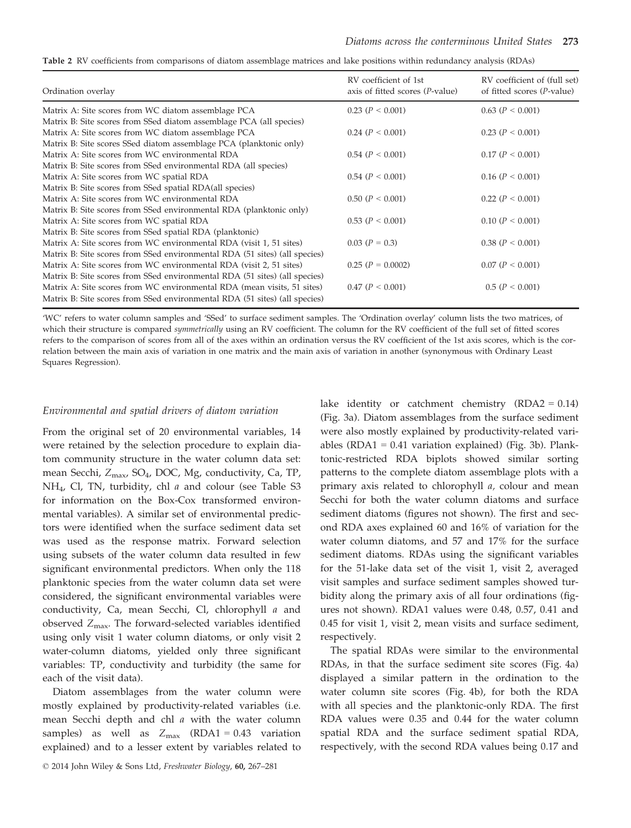| RV coefficient of 1st<br>axis of fitted scores $(P-value)$ | RV coefficient of (full set)<br>of fitted scores ( <i>P</i> -value) |
|------------------------------------------------------------|---------------------------------------------------------------------|
| 0.23 (P < 0.001)                                           | 0.63 (P < 0.001)                                                    |
|                                                            |                                                                     |
| $0.24$ ( $P < 0.001$ )                                     | 0.23 (P < 0.001)                                                    |
|                                                            |                                                                     |
| $0.54$ ( $P < 0.001$ )                                     | 0.17 (P < 0.001)                                                    |
|                                                            |                                                                     |
| $0.54$ ( $P < 0.001$ )                                     | $0.16$ ( $P < 0.001$ )                                              |
|                                                            |                                                                     |
| 0.50 (P < 0.001)                                           | 0.22 (P < 0.001)                                                    |
|                                                            |                                                                     |
| 0.53 (P < 0.001)                                           | 0.10 (P < 0.001)                                                    |
|                                                            |                                                                     |
| $0.03 (P = 0.3)$                                           | 0.38(P < 0.001)                                                     |
|                                                            |                                                                     |
| $0.25$ ( $P = 0.0002$ )                                    | 0.07 (P < 0.001)                                                    |
|                                                            |                                                                     |
| $0.47$ ( $P < 0.001$ )                                     | 0.5 (P < 0.001)                                                     |
|                                                            |                                                                     |
|                                                            |                                                                     |

Table 2 RV coefficients from comparisons of diatom assemblage matrices and lake positions within redundancy analysis (RDAs)

'WC' refers to water column samples and 'SSed' to surface sediment samples. The 'Ordination overlay' column lists the two matrices, of which their structure is compared symmetrically using an RV coefficient. The column for the RV coefficient of the full set of fitted scores refers to the comparison of scores from all of the axes within an ordination versus the RV coefficient of the 1st axis scores, which is the correlation between the main axis of variation in one matrix and the main axis of variation in another (synonymous with Ordinary Least Squares Regression).

#### Environmental and spatial drivers of diatom variation

From the original set of 20 environmental variables, 14 were retained by the selection procedure to explain diatom community structure in the water column data set: mean Secchi, Z<sub>max</sub>, SO<sub>4</sub>, DOC, Mg, conductivity, Ca, TP, NH4, Cl, TN, turbidity, chl a and colour (see Table S3 for information on the Box-Cox transformed environmental variables). A similar set of environmental predictors were identified when the surface sediment data set was used as the response matrix. Forward selection using subsets of the water column data resulted in few significant environmental predictors. When only the 118 planktonic species from the water column data set were considered, the significant environmental variables were conductivity, Ca, mean Secchi, Cl, chlorophyll a and observed Zmax. The forward-selected variables identified using only visit 1 water column diatoms, or only visit 2 water-column diatoms, yielded only three significant variables: TP, conductivity and turbidity (the same for each of the visit data).

Diatom assemblages from the water column were mostly explained by productivity-related variables (i.e. mean Secchi depth and chl a with the water column samples) as well as  $Z_{\text{max}}$  (RDA1 = 0.43 variation explained) and to a lesser extent by variables related to lake identity or catchment chemistry  $(RDA2 = 0.14)$ (Fig. 3a). Diatom assemblages from the surface sediment were also mostly explained by productivity-related variables (RDA1 = 0.41 variation explained) (Fig. 3b). Planktonic-restricted RDA biplots showed similar sorting patterns to the complete diatom assemblage plots with a primary axis related to chlorophyll a, colour and mean Secchi for both the water column diatoms and surface sediment diatoms (figures not shown). The first and second RDA axes explained 60 and 16% of variation for the water column diatoms, and 57 and 17% for the surface sediment diatoms. RDAs using the significant variables for the 51-lake data set of the visit 1, visit 2, averaged visit samples and surface sediment samples showed turbidity along the primary axis of all four ordinations (figures not shown). RDA1 values were 0.48, 0.57, 0.41 and 0.45 for visit 1, visit 2, mean visits and surface sediment, respectively.

The spatial RDAs were similar to the environmental RDAs, in that the surface sediment site scores (Fig. 4a) displayed a similar pattern in the ordination to the water column site scores (Fig. 4b), for both the RDA with all species and the planktonic-only RDA. The first RDA values were 0.35 and 0.44 for the water column spatial RDA and the surface sediment spatial RDA, respectively, with the second RDA values being 0.17 and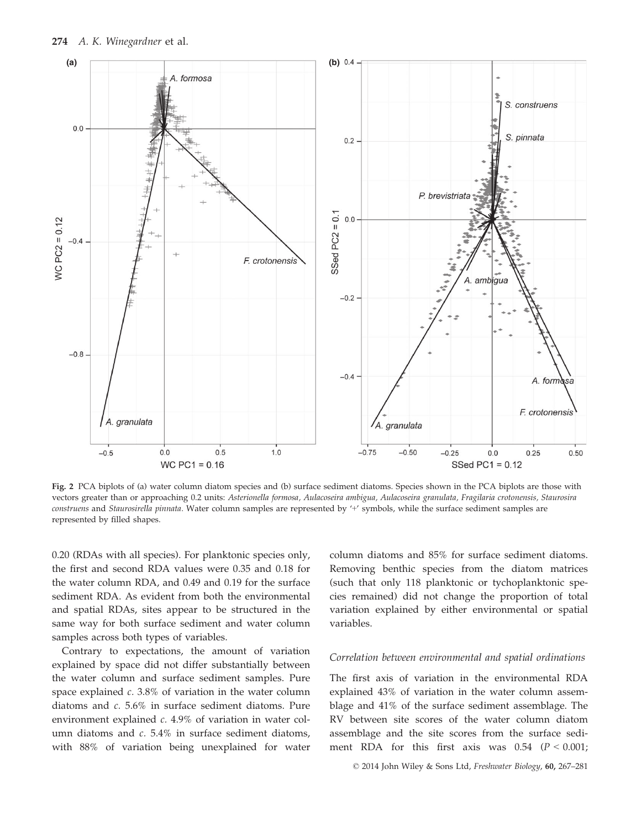

Fig. 2 PCA biplots of (a) water column diatom species and (b) surface sediment diatoms. Species shown in the PCA biplots are those with vectors greater than or approaching 0.2 units: Asterionella formosa, Aulacoseira ambigua, Aulacoseira granulata, Fragilaria crotonensis, Staurosira construens and Staurosirella pinnata. Water column samples are represented by '+' symbols, while the surface sediment samples are represented by filled shapes.

0.20 (RDAs with all species). For planktonic species only, the first and second RDA values were 0.35 and 0.18 for the water column RDA, and 0.49 and 0.19 for the surface sediment RDA. As evident from both the environmental and spatial RDAs, sites appear to be structured in the same way for both surface sediment and water column samples across both types of variables.

Contrary to expectations, the amount of variation explained by space did not differ substantially between the water column and surface sediment samples. Pure space explained *c.* 3.8% of variation in the water column diatoms and c. 5.6% in surface sediment diatoms. Pure environment explained c. 4.9% of variation in water column diatoms and c. 5.4% in surface sediment diatoms, with 88% of variation being unexplained for water

column diatoms and 85% for surface sediment diatoms. Removing benthic species from the diatom matrices (such that only 118 planktonic or tychoplanktonic species remained) did not change the proportion of total variation explained by either environmental or spatial variables.

## Correlation between environmental and spatial ordinations

The first axis of variation in the environmental RDA explained 43% of variation in the water column assemblage and 41% of the surface sediment assemblage. The RV between site scores of the water column diatom assemblage and the site scores from the surface sediment RDA for this first axis was  $0.54$  ( $P < 0.001$ ;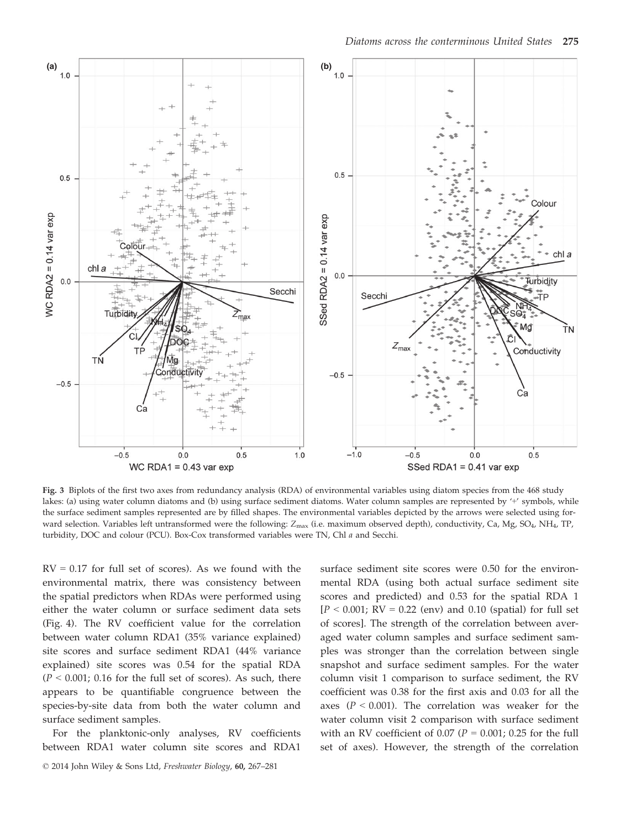

Fig. 3 Biplots of the first two axes from redundancy analysis (RDA) of environmental variables using diatom species from the 468 study lakes: (a) using water column diatoms and (b) using surface sediment diatoms. Water column samples are represented by '+' symbols, while the surface sediment samples represented are by filled shapes. The environmental variables depicted by the arrows were selected using forward selection. Variables left untransformed were the following: Z<sub>max</sub> (i.e. maximum observed depth), conductivity, Ca, Mg, SO<sub>4</sub>, NH<sub>4</sub>, TP, turbidity, DOC and colour (PCU). Box-Cox transformed variables were TN, Chl a and Secchi.

 $RV = 0.17$  for full set of scores). As we found with the environmental matrix, there was consistency between the spatial predictors when RDAs were performed using either the water column or surface sediment data sets (Fig. 4). The RV coefficient value for the correlation between water column RDA1 (35% variance explained) site scores and surface sediment RDA1 (44% variance explained) site scores was 0.54 for the spatial RDA  $(P < 0.001; 0.16$  for the full set of scores). As such, there appears to be quantifiable congruence between the species-by-site data from both the water column and surface sediment samples.

For the planktonic-only analyses, RV coefficients between RDA1 water column site scores and RDA1

surface sediment site scores were 0.50 for the environmental RDA (using both actual surface sediment site scores and predicted) and 0.53 for the spatial RDA 1  $[P < 0.001$ ; RV = 0.22 (env) and 0.10 (spatial) for full set of scores]. The strength of the correlation between averaged water column samples and surface sediment samples was stronger than the correlation between single snapshot and surface sediment samples. For the water column visit 1 comparison to surface sediment, the RV coefficient was 0.38 for the first axis and 0.03 for all the axes ( $P < 0.001$ ). The correlation was weaker for the water column visit 2 comparison with surface sediment with an RV coefficient of 0.07 ( $P = 0.001$ ; 0.25 for the full set of axes). However, the strength of the correlation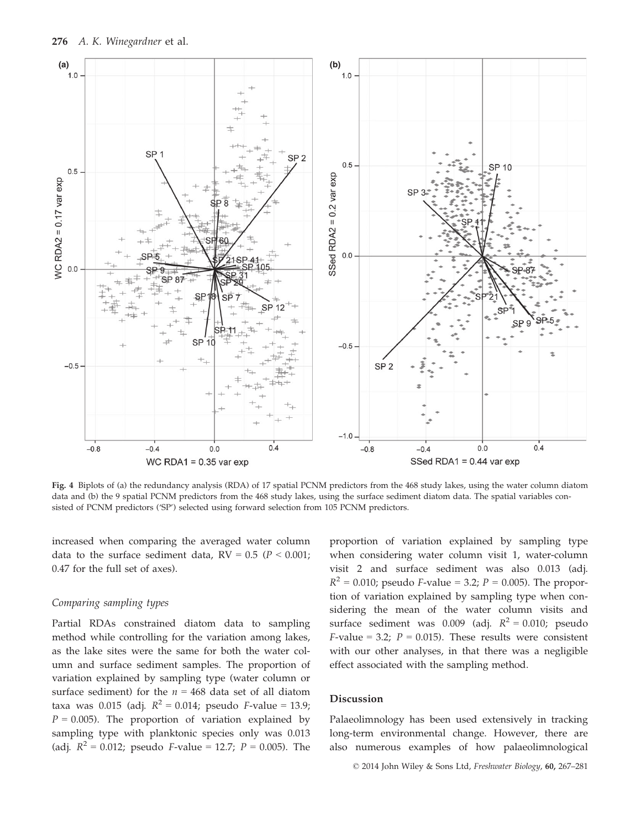

Fig. 4 Biplots of (a) the redundancy analysis (RDA) of 17 spatial PCNM predictors from the 468 study lakes, using the water column diatom data and (b) the 9 spatial PCNM predictors from the 468 study lakes, using the surface sediment diatom data. The spatial variables consisted of PCNM predictors ('SP') selected using forward selection from 105 PCNM predictors.

increased when comparing the averaged water column data to the surface sediment data,  $RV = 0.5$  ( $P < 0.001$ ; 0.47 for the full set of axes).

#### Comparing sampling types

Partial RDAs constrained diatom data to sampling method while controlling for the variation among lakes, as the lake sites were the same for both the water column and surface sediment samples. The proportion of variation explained by sampling type (water column or surface sediment) for the  $n = 468$  data set of all diatom taxa was 0.015 (adj.  $R^2 = 0.014$ ; pseudo *F*-value = 13.9;  $P = 0.005$ ). The proportion of variation explained by sampling type with planktonic species only was 0.013 (adj.  $R^2 = 0.012$ ; pseudo *F*-value = 12.7; *P* = 0.005). The proportion of variation explained by sampling type when considering water column visit 1, water-column visit 2 and surface sediment was also 0.013 (adj.  $R^2 = 0.010$ ; pseudo *F*-value = 3.2; *P* = 0.005). The proportion of variation explained by sampling type when considering the mean of the water column visits and surface sediment was 0.009 (adj.  $R^2 = 0.010$ ; pseudo F-value = 3.2;  $P = 0.015$ ). These results were consistent with our other analyses, in that there was a negligible effect associated with the sampling method.

#### Discussion

Palaeolimnology has been used extensively in tracking long-term environmental change. However, there are also numerous examples of how palaeolimnological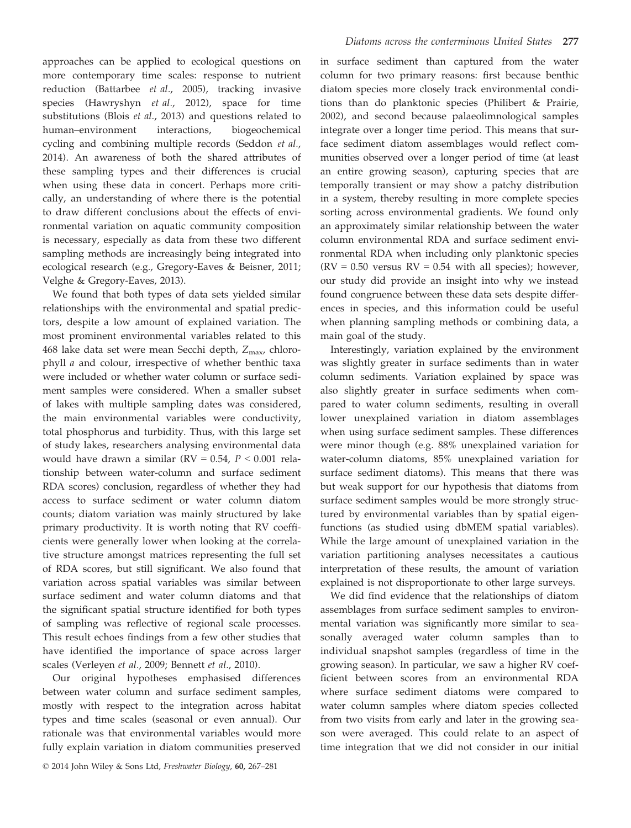approaches can be applied to ecological questions on more contemporary time scales: response to nutrient reduction (Battarbee et al., 2005), tracking invasive species (Hawryshyn et al., 2012), space for time substitutions (Blois et al., 2013) and questions related to human–environment interactions, biogeochemical cycling and combining multiple records (Seddon et al., 2014). An awareness of both the shared attributes of these sampling types and their differences is crucial when using these data in concert. Perhaps more critically, an understanding of where there is the potential to draw different conclusions about the effects of environmental variation on aquatic community composition is necessary, especially as data from these two different sampling methods are increasingly being integrated into ecological research (e.g., Gregory-Eaves & Beisner, 2011; Velghe & Gregory-Eaves, 2013).

We found that both types of data sets yielded similar relationships with the environmental and spatial predictors, despite a low amount of explained variation. The most prominent environmental variables related to this 468 lake data set were mean Secchi depth,  $Z_{\text{max}}$ , chlorophyll a and colour, irrespective of whether benthic taxa were included or whether water column or surface sediment samples were considered. When a smaller subset of lakes with multiple sampling dates was considered, the main environmental variables were conductivity, total phosphorus and turbidity. Thus, with this large set of study lakes, researchers analysing environmental data would have drawn a similar ( $RV = 0.54$ ,  $P < 0.001$  relationship between water-column and surface sediment RDA scores) conclusion, regardless of whether they had access to surface sediment or water column diatom counts; diatom variation was mainly structured by lake primary productivity. It is worth noting that RV coefficients were generally lower when looking at the correlative structure amongst matrices representing the full set of RDA scores, but still significant. We also found that variation across spatial variables was similar between surface sediment and water column diatoms and that the significant spatial structure identified for both types of sampling was reflective of regional scale processes. This result echoes findings from a few other studies that have identified the importance of space across larger scales (Verleyen et al., 2009; Bennett et al., 2010).

Our original hypotheses emphasised differences between water column and surface sediment samples, mostly with respect to the integration across habitat types and time scales (seasonal or even annual). Our rationale was that environmental variables would more fully explain variation in diatom communities preserved in surface sediment than captured from the water column for two primary reasons: first because benthic diatom species more closely track environmental conditions than do planktonic species (Philibert & Prairie, 2002), and second because palaeolimnological samples integrate over a longer time period. This means that surface sediment diatom assemblages would reflect communities observed over a longer period of time (at least an entire growing season), capturing species that are temporally transient or may show a patchy distribution in a system, thereby resulting in more complete species sorting across environmental gradients. We found only an approximately similar relationship between the water column environmental RDA and surface sediment environmental RDA when including only planktonic species  $(RV = 0.50$  versus  $RV = 0.54$  with all species); however, our study did provide an insight into why we instead found congruence between these data sets despite differences in species, and this information could be useful when planning sampling methods or combining data, a main goal of the study.

Interestingly, variation explained by the environment was slightly greater in surface sediments than in water column sediments. Variation explained by space was also slightly greater in surface sediments when compared to water column sediments, resulting in overall lower unexplained variation in diatom assemblages when using surface sediment samples. These differences were minor though (e.g. 88% unexplained variation for water-column diatoms, 85% unexplained variation for surface sediment diatoms). This means that there was but weak support for our hypothesis that diatoms from surface sediment samples would be more strongly structured by environmental variables than by spatial eigenfunctions (as studied using dbMEM spatial variables). While the large amount of unexplained variation in the variation partitioning analyses necessitates a cautious interpretation of these results, the amount of variation explained is not disproportionate to other large surveys.

We did find evidence that the relationships of diatom assemblages from surface sediment samples to environmental variation was significantly more similar to seasonally averaged water column samples than to individual snapshot samples (regardless of time in the growing season). In particular, we saw a higher RV coefficient between scores from an environmental RDA where surface sediment diatoms were compared to water column samples where diatom species collected from two visits from early and later in the growing season were averaged. This could relate to an aspect of time integration that we did not consider in our initial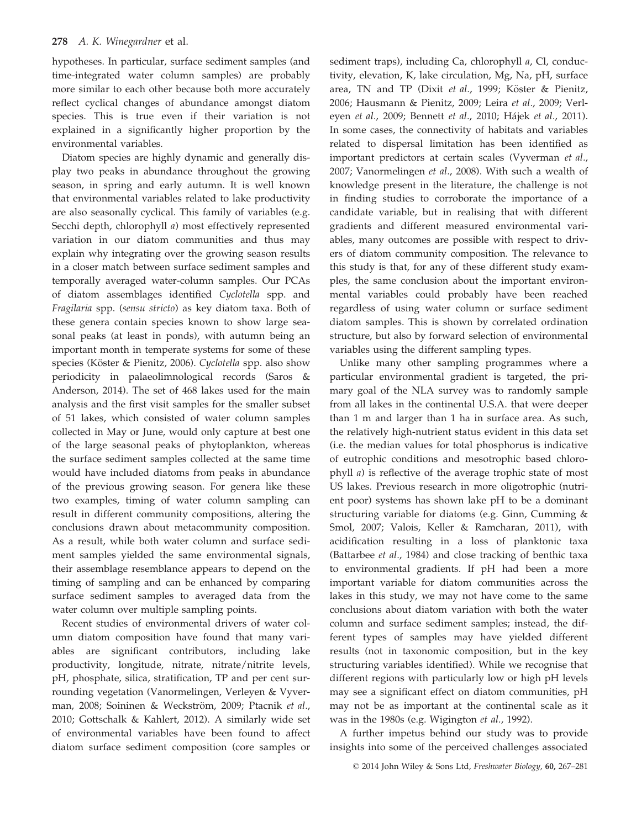hypotheses. In particular, surface sediment samples (and time-integrated water column samples) are probably more similar to each other because both more accurately reflect cyclical changes of abundance amongst diatom species. This is true even if their variation is not explained in a significantly higher proportion by the environmental variables.

Diatom species are highly dynamic and generally display two peaks in abundance throughout the growing season, in spring and early autumn. It is well known that environmental variables related to lake productivity are also seasonally cyclical. This family of variables (e.g. Secchi depth, chlorophyll a) most effectively represented variation in our diatom communities and thus may explain why integrating over the growing season results in a closer match between surface sediment samples and temporally averaged water-column samples. Our PCAs of diatom assemblages identified Cyclotella spp. and Fragilaria spp. (sensu stricto) as key diatom taxa. Both of these genera contain species known to show large seasonal peaks (at least in ponds), with autumn being an important month in temperate systems for some of these species (Köster & Pienitz, 2006). Cyclotella spp. also show periodicity in palaeolimnological records (Saros & Anderson, 2014). The set of 468 lakes used for the main analysis and the first visit samples for the smaller subset of 51 lakes, which consisted of water column samples collected in May or June, would only capture at best one of the large seasonal peaks of phytoplankton, whereas the surface sediment samples collected at the same time would have included diatoms from peaks in abundance of the previous growing season. For genera like these two examples, timing of water column sampling can result in different community compositions, altering the conclusions drawn about metacommunity composition. As a result, while both water column and surface sediment samples yielded the same environmental signals, their assemblage resemblance appears to depend on the timing of sampling and can be enhanced by comparing surface sediment samples to averaged data from the water column over multiple sampling points.

Recent studies of environmental drivers of water column diatom composition have found that many variables are significant contributors, including lake productivity, longitude, nitrate, nitrate/nitrite levels, pH, phosphate, silica, stratification, TP and per cent surrounding vegetation (Vanormelingen, Verleyen & Vyverman, 2008; Soininen & Weckström, 2009; Ptacnik et al., 2010; Gottschalk & Kahlert, 2012). A similarly wide set of environmental variables have been found to affect diatom surface sediment composition (core samples or sediment traps), including Ca, chlorophyll a, Cl, conductivity, elevation, K, lake circulation, Mg, Na, pH, surface area, TN and TP (Dixit et al., 1999; Köster & Pienitz, 2006; Hausmann & Pienitz, 2009; Leira et al., 2009; Verleyen et al., 2009; Bennett et al., 2010; Hajek et al., 2011). In some cases, the connectivity of habitats and variables related to dispersal limitation has been identified as important predictors at certain scales (Vyverman et al., 2007; Vanormelingen et al., 2008). With such a wealth of knowledge present in the literature, the challenge is not in finding studies to corroborate the importance of a candidate variable, but in realising that with different gradients and different measured environmental variables, many outcomes are possible with respect to drivers of diatom community composition. The relevance to this study is that, for any of these different study examples, the same conclusion about the important environmental variables could probably have been reached regardless of using water column or surface sediment diatom samples. This is shown by correlated ordination structure, but also by forward selection of environmental variables using the different sampling types.

Unlike many other sampling programmes where a particular environmental gradient is targeted, the primary goal of the NLA survey was to randomly sample from all lakes in the continental U.S.A. that were deeper than 1 m and larger than 1 ha in surface area. As such, the relatively high-nutrient status evident in this data set (i.e. the median values for total phosphorus is indicative of eutrophic conditions and mesotrophic based chlorophyll a) is reflective of the average trophic state of most US lakes. Previous research in more oligotrophic (nutrient poor) systems has shown lake pH to be a dominant structuring variable for diatoms (e.g. Ginn, Cumming & Smol, 2007; Valois, Keller & Ramcharan, 2011), with acidification resulting in a loss of planktonic taxa (Battarbee et al., 1984) and close tracking of benthic taxa to environmental gradients. If pH had been a more important variable for diatom communities across the lakes in this study, we may not have come to the same conclusions about diatom variation with both the water column and surface sediment samples; instead, the different types of samples may have yielded different results (not in taxonomic composition, but in the key structuring variables identified). While we recognise that different regions with particularly low or high pH levels may see a significant effect on diatom communities, pH may not be as important at the continental scale as it was in the 1980s (e.g. Wigington et al., 1992).

A further impetus behind our study was to provide insights into some of the perceived challenges associated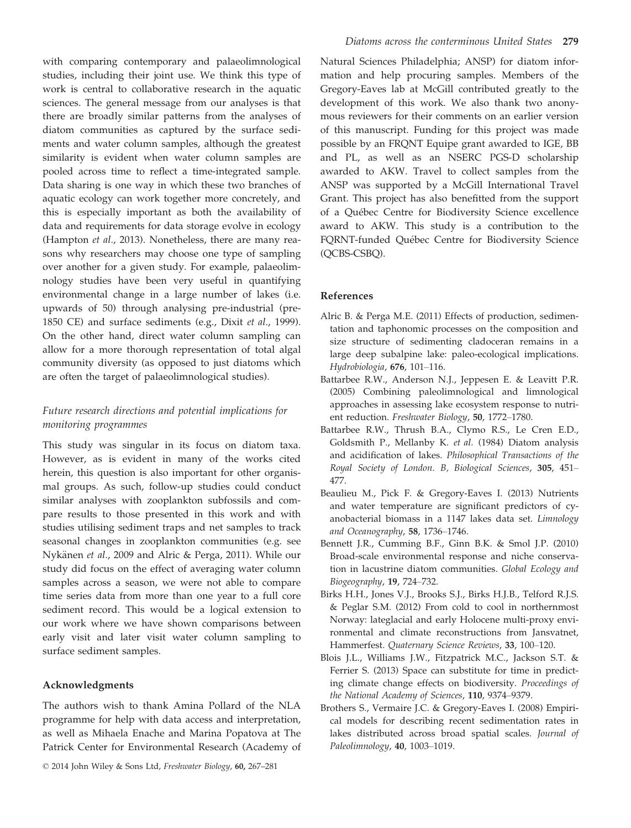with comparing contemporary and palaeolimnological studies, including their joint use. We think this type of work is central to collaborative research in the aquatic sciences. The general message from our analyses is that there are broadly similar patterns from the analyses of diatom communities as captured by the surface sediments and water column samples, although the greatest similarity is evident when water column samples are pooled across time to reflect a time-integrated sample. Data sharing is one way in which these two branches of aquatic ecology can work together more concretely, and this is especially important as both the availability of data and requirements for data storage evolve in ecology (Hampton et al., 2013). Nonetheless, there are many reasons why researchers may choose one type of sampling over another for a given study. For example, palaeolimnology studies have been very useful in quantifying environmental change in a large number of lakes (i.e. upwards of 50) through analysing pre-industrial (pre-1850 CE) and surface sediments (e.g., Dixit et al., 1999). On the other hand, direct water column sampling can allow for a more thorough representation of total algal community diversity (as opposed to just diatoms which are often the target of palaeolimnological studies).

# Future research directions and potential implications for monitoring programmes

This study was singular in its focus on diatom taxa. However, as is evident in many of the works cited herein, this question is also important for other organismal groups. As such, follow-up studies could conduct similar analyses with zooplankton subfossils and compare results to those presented in this work and with studies utilising sediment traps and net samples to track seasonal changes in zooplankton communities (e.g. see Nykänen et al., 2009 and Alric & Perga, 2011). While our study did focus on the effect of averaging water column samples across a season, we were not able to compare time series data from more than one year to a full core sediment record. This would be a logical extension to our work where we have shown comparisons between early visit and later visit water column sampling to surface sediment samples.

# Acknowledgments

The authors wish to thank Amina Pollard of the NLA programme for help with data access and interpretation, as well as Mihaela Enache and Marina Popatova at The Patrick Center for Environmental Research (Academy of

© 2014 John Wiley & Sons Ltd, Freshwater Biology, 60, 267–281

Natural Sciences Philadelphia; ANSP) for diatom information and help procuring samples. Members of the Gregory-Eaves lab at McGill contributed greatly to the development of this work. We also thank two anonymous reviewers for their comments on an earlier version of this manuscript. Funding for this project was made possible by an FRQNT Equipe grant awarded to IGE, BB and PL, as well as an NSERC PGS-D scholarship awarded to AKW. Travel to collect samples from the ANSP was supported by a McGill International Travel Grant. This project has also benefitted from the support of a Quebec Centre for Biodiversity Science excellence award to AKW. This study is a contribution to the FQRNT-funded Quebec Centre for Biodiversity Science (QCBS-CSBQ).

#### References

- Alric B. & Perga M.E. (2011) Effects of production, sedimentation and taphonomic processes on the composition and size structure of sedimenting cladoceran remains in a large deep subalpine lake: paleo-ecological implications. Hydrobiologia, 676, 101–116.
- Battarbee R.W., Anderson N.J., Jeppesen E. & Leavitt P.R. (2005) Combining paleolimnological and limnological approaches in assessing lake ecosystem response to nutrient reduction. Freshwater Biology, 50, 1772–1780.
- Battarbee R.W., Thrush B.A., Clymo R.S., Le Cren E.D., Goldsmith P., Mellanby K. et al. (1984) Diatom analysis and acidification of lakes. Philosophical Transactions of the Royal Society of London. B, Biological Sciences, 305, 451– 477.
- Beaulieu M., Pick F. & Gregory-Eaves I. (2013) Nutrients and water temperature are significant predictors of cyanobacterial biomass in a 1147 lakes data set. Limnology and Oceanography, 58, 1736–1746.
- Bennett J.R., Cumming B.F., Ginn B.K. & Smol J.P. (2010) Broad-scale environmental response and niche conservation in lacustrine diatom communities. Global Ecology and Biogeography, 19, 724–732.
- Birks H.H., Jones V.J., Brooks S.J., Birks H.J.B., Telford R.J.S. & Peglar S.M. (2012) From cold to cool in northernmost Norway: lateglacial and early Holocene multi-proxy environmental and climate reconstructions from Jansvatnet, Hammerfest. Quaternary Science Reviews, 33, 100–120.
- Blois J.L., Williams J.W., Fitzpatrick M.C., Jackson S.T. & Ferrier S. (2013) Space can substitute for time in predicting climate change effects on biodiversity. Proceedings of the National Academy of Sciences, 110, 9374–9379.
- Brothers S., Vermaire J.C. & Gregory-Eaves I. (2008) Empirical models for describing recent sedimentation rates in lakes distributed across broad spatial scales. Journal of Paleolimnology, 40, 1003–1019.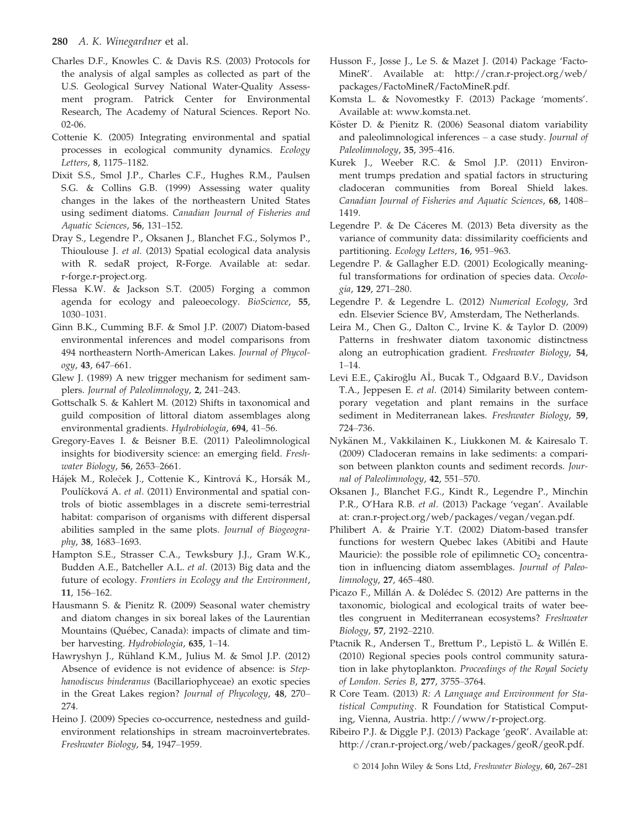## 280 A. K. Winegardner et al.

- Charles D.F., Knowles C. & Davis R.S. (2003) Protocols for the analysis of algal samples as collected as part of the U.S. Geological Survey National Water-Quality Assessment program. Patrick Center for Environmental Research, The Academy of Natural Sciences. Report No. 02-06.
- Cottenie K. (2005) Integrating environmental and spatial processes in ecological community dynamics. Ecology Letters, 8, 1175–1182.
- Dixit S.S., Smol J.P., Charles C.F., Hughes R.M., Paulsen S.G. & Collins G.B. (1999) Assessing water quality changes in the lakes of the northeastern United States using sediment diatoms. Canadian Journal of Fisheries and Aquatic Sciences, 56, 131–152.
- Dray S., Legendre P., Oksanen J., Blanchet F.G., Solymos P., Thioulouse J. et al. (2013) Spatial ecological data analysis with R. sedaR project, R-Forge. Available at: sedar. r-forge.r-project.org.
- Flessa K.W. & Jackson S.T. (2005) Forging a common agenda for ecology and paleoecology. BioScience, 55, 1030–1031.
- Ginn B.K., Cumming B.F. & Smol J.P. (2007) Diatom-based environmental inferences and model comparisons from 494 northeastern North-American Lakes. Journal of Phycology, 43, 647–661.
- Glew J. (1989) A new trigger mechanism for sediment samplers. Journal of Paleolimnology, 2, 241–243.
- Gottschalk S. & Kahlert M. (2012) Shifts in taxonomical and guild composition of littoral diatom assemblages along environmental gradients. Hydrobiologia, 694, 41–56.
- Gregory-Eaves I. & Beisner B.E. (2011) Paleolimnological insights for biodiversity science: an emerging field. Freshwater Biology, 56, 2653–2661.
- Hájek M., Roleček J., Cottenie K., Kintrová K., Horsák M., Poulíčková A. et al. (2011) Environmental and spatial controls of biotic assemblages in a discrete semi-terrestrial habitat: comparison of organisms with different dispersal abilities sampled in the same plots. Journal of Biogeography, 38, 1683–1693.
- Hampton S.E., Strasser C.A., Tewksbury J.J., Gram W.K., Budden A.E., Batcheller A.L. et al. (2013) Big data and the future of ecology. Frontiers in Ecology and the Environment, 11, 156–162.
- Hausmann S. & Pienitz R. (2009) Seasonal water chemistry and diatom changes in six boreal lakes of the Laurentian Mountains (Quebec, Canada): impacts of climate and timber harvesting. Hydrobiologia, 635, 1–14.
- Hawryshyn J., Rühland K.M., Julius M. & Smol J.P. (2012) Absence of evidence is not evidence of absence: is Stephanodiscus binderanus (Bacillariophyceae) an exotic species in the Great Lakes region? Journal of Phycology, 48, 270– 274.
- Heino J. (2009) Species co-occurrence, nestedness and guildenvironment relationships in stream macroinvertebrates. Freshwater Biology, 54, 1947–1959.
- Husson F., Josse J., Le S. & Mazet J. (2014) Package 'Facto-MineR'. Available at: http://cran.r-project.org/web/ packages/FactoMineR/FactoMineR.pdf.
- Komsta L. & Novomestky F. (2013) Package 'moments'. Available at: www.komsta.net.
- Köster D. & Pienitz R. (2006) Seasonal diatom variability and paleolimnological inferences – a case study. Journal of Paleolimnology, 35, 395–416.
- Kurek J., Weeber R.C. & Smol J.P. (2011) Environment trumps predation and spatial factors in structuring cladoceran communities from Boreal Shield lakes. Canadian Journal of Fisheries and Aquatic Sciences, 68, 1408– 1419.
- Legendre P. & De Cáceres M. (2013) Beta diversity as the variance of community data: dissimilarity coefficients and partitioning. Ecology Letters, 16, 951–963.
- Legendre P. & Gallagher E.D. (2001) Ecologically meaningful transformations for ordination of species data. Oecologia, 129, 271–280.
- Legendre P. & Legendre L. (2012) Numerical Ecology, 3rd edn. Elsevier Science BV, Amsterdam, The Netherlands.
- Leira M., Chen G., Dalton C., Irvine K. & Taylor D. (2009) Patterns in freshwater diatom taxonomic distinctness along an eutrophication gradient. Freshwater Biology, 54, 1–14.
- Levi E.E., Çakiroğlu Aİ., Bucak T., Odgaard B.V., Davidson T.A., Jeppesen E. et al. (2014) Similarity between contemporary vegetation and plant remains in the surface sediment in Mediterranean lakes. Freshwater Biology, 59, 724–736.
- Nykänen M., Vakkilainen K., Liukkonen M. & Kairesalo T. (2009) Cladoceran remains in lake sediments: a comparison between plankton counts and sediment records. Journal of Paleolimnology, 42, 551–570.
- Oksanen J., Blanchet F.G., Kindt R., Legendre P., Minchin P.R., O'Hara R.B. et al. (2013) Package 'vegan'. Available at: cran.r-project.org/web/packages/vegan/vegan.pdf.
- Philibert A. & Prairie Y.T. (2002) Diatom-based transfer functions for western Quebec lakes (Abitibi and Haute Mauricie): the possible role of epilimnetic  $CO<sub>2</sub>$  concentration in influencing diatom assemblages. Journal of Paleolimnology, 27, 465–480.
- Picazo F., Millán A. & Dolédec S. (2012) Are patterns in the taxonomic, biological and ecological traits of water beetles congruent in Mediterranean ecosystems? Freshwater Biology, 57, 2192–2210.
- Ptacnik R., Andersen T., Brettum P., Lepistö L. & Willén E. (2010) Regional species pools control community saturation in lake phytoplankton. Proceedings of the Royal Society of London. Series B, 277, 3755–3764.
- R Core Team. (2013) R: A Language and Environment for Statistical Computing. R Foundation for Statistical Computing, Vienna, Austria. http://www/r-project.org.
- Ribeiro P.J. & Diggle P.J. (2013) Package 'geoR'. Available at: http://cran.r-project.org/web/packages/geoR/geoR.pdf.